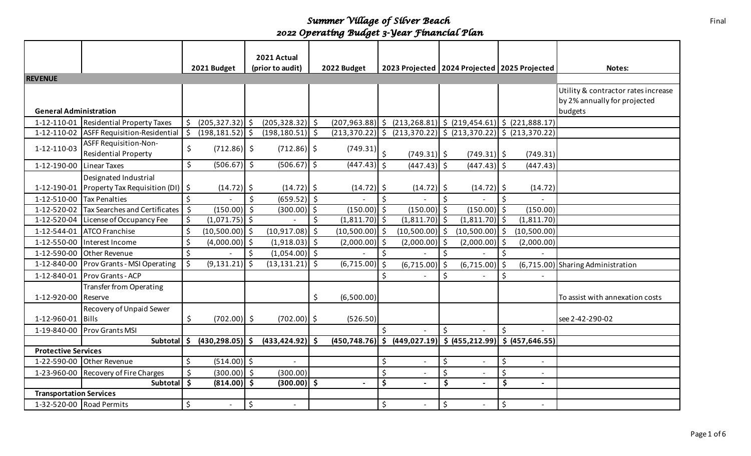|                                |                                                      |         |                    |         | 2021 Actual              |    |                  |                      |                                                                          |    |                  |    |                          |                                     |
|--------------------------------|------------------------------------------------------|---------|--------------------|---------|--------------------------|----|------------------|----------------------|--------------------------------------------------------------------------|----|------------------|----|--------------------------|-------------------------------------|
|                                |                                                      |         | 2021 Budget        |         | (prior to audit)         |    | 2022 Budget      |                      | 2023 Projected   2024 Projected   2025 Projected                         |    |                  |    |                          | Notes:                              |
| <b>REVENUE</b>                 |                                                      |         |                    |         |                          |    |                  |                      |                                                                          |    |                  |    |                          |                                     |
|                                |                                                      |         |                    |         |                          |    |                  |                      |                                                                          |    |                  |    |                          | Utility & contractor rates increase |
|                                |                                                      |         |                    |         |                          |    |                  |                      |                                                                          |    |                  |    |                          | by 2% annually for projected        |
| <b>General Administration</b>  |                                                      |         |                    |         |                          |    |                  |                      |                                                                          |    |                  |    |                          | budgets                             |
| 1-12-110-01                    | <b>Residential Property Taxes</b>                    |         | $(205, 327.32)$ \$ |         | $(205, 328.32)$ \$       |    |                  |                      | $(207, 963.88)$ \$ $(213, 268.81)$ \$ $(219, 454.61)$ \$ $(221, 888.17)$ |    |                  |    |                          |                                     |
| 1-12-110-02                    | <b>ASFF Requisition-Residential</b>                  | \$      | $(198, 181.52)$ \$ |         | $(198, 180.51)$ \$       |    |                  |                      | $(213,370.22)$ \$ $(213,370.22)$ \$ $(213,370.22)$ \$ $(213,370.22)$     |    |                  |    |                          |                                     |
| 1-12-110-03                    | ASFF Requisition-Non-<br><b>Residential Property</b> | \$      | $(712.86)$ \$      |         | $(712.86)$ \$            |    | (749.31)         | $\mathsf{\hat{S}}$   | $(749.31)$ \$                                                            |    | $(749.31)$ \$    |    | (749.31)                 |                                     |
| 1-12-190-00                    | <b>Linear Taxes</b>                                  | \$      | $(506.67)$ \$      |         | $(506.67)$ \$            |    | $(447.43)$ \$    |                      | $(447.43)$ \$                                                            |    | $(447.43)$ \$    |    | (447.43)                 |                                     |
|                                | Designated Industrial                                |         |                    |         |                          |    |                  |                      |                                                                          |    |                  |    |                          |                                     |
| 1-12-190-01                    | Property Tax Requisition (DI)   \$                   |         | $(14.72)$ \$       |         | $(14.72)$ \$             |    | $(14.72)$ \$     |                      | $(14.72)$ \$                                                             |    | $(14.72)$ \$     |    | (14.72)                  |                                     |
| 1-12-510-00                    | <b>Tax Penalties</b>                                 | \$      |                    | Ś.      | $(659.52)$ \$            |    |                  | Ś.                   |                                                                          | \$ |                  | \$ |                          |                                     |
| 1-12-520-02                    | <b>Tax Searches and Certificates</b>                 | $\zeta$ | $(150.00)$ \$      |         | $(300.00)$ \$            |    | $(150.00)$ \$    |                      | $(150.00)$ \$                                                            |    | $(150.00)$ \$    |    | (150.00)                 |                                     |
| 1-12-520-04                    | License of Occupancy Fee                             | \$      | $(1,071.75)$ \$    |         |                          | \$ | $(1,811.70)$ \$  |                      | $(1,811.70)$ \$                                                          |    | $(1,811.70)$ \$  |    | (1, 811.70)              |                                     |
| 1-12-544-01                    | <b>ATCO</b> Franchise                                | \$      | $(10,500.00)$ \$   |         | $(10,917.08)$ \$         |    | $(10,500.00)$ \$ |                      | (10,500.00)                                                              | \$ | $(10,500.00)$ \$ |    | (10,500.00)              |                                     |
| 1-12-550-00                    | Interest Income                                      | \$      | $(4,000.00)$ \$    |         | $(1,918.03)$ \$          |    | $(2,000.00)$ \$  |                      | $(2,000.00)$ \$                                                          |    | $(2,000.00)$ \$  |    | (2,000.00)               |                                     |
| 1-12-590-00                    | <b>Other Revenue</b>                                 | \$      |                    | \$      | $(1,054.00)$ \$          |    |                  | \$                   |                                                                          | \$ |                  | \$ |                          |                                     |
| 1-12-840-00                    | <b>Prov Grants - MSI Operating</b>                   | \$      | (9, 131.21)        | $\zeta$ | $(13, 131.21)$ \$        |    | $(6,715.00)$ \$  |                      | $(6,715.00)$ \$                                                          |    | $(6,715.00)$ \$  |    |                          | (6,715.00) Sharing Administration   |
| 1-12-840-01                    | <b>Prov Grants - ACP</b>                             |         |                    |         |                          |    |                  | \$                   |                                                                          | \$ |                  | Ś  |                          |                                     |
|                                | <b>Transfer from Operating</b>                       |         |                    |         |                          |    |                  |                      |                                                                          |    |                  |    |                          |                                     |
| 1-12-920-00                    | Reserve                                              |         |                    |         |                          | \$ | (6,500.00)       |                      |                                                                          |    |                  |    |                          | To assist with annexation costs     |
|                                | Recovery of Unpaid Sewer                             |         |                    |         |                          |    |                  |                      |                                                                          |    |                  |    |                          |                                     |
| 1-12-960-01                    | Bills                                                | \$      | $(702.00)$ \$      |         | $(702.00)$ \$            |    | (526.50)         |                      |                                                                          |    |                  |    |                          | see 2-42-290-02                     |
| 1-19-840-00                    | <b>Prov Grants MSI</b>                               |         |                    |         |                          |    |                  | Ś.                   |                                                                          | \$ |                  | Ś  |                          |                                     |
|                                | Subtotal                                             | .s      | (430, 298.05)      | -S      | $(433, 424.92)$ \$       |    |                  |                      | $(450,748.76)$ \$ $(449,027.19)$ \$ $(455,212.99)$ \$ $(457,646.55)$     |    |                  |    |                          |                                     |
| <b>Protective Services</b>     |                                                      |         |                    |         |                          |    |                  |                      |                                                                          |    |                  |    |                          |                                     |
| 1-22-590-00                    | Other Revenue                                        | \$      | $(514.00)$ \$      |         | $\overline{a}$           |    |                  | \$                   |                                                                          | \$ | $\overline{a}$   | \$ | $\overline{a}$           |                                     |
| 1-23-960-00                    | Recovery of Fire Charges                             | \$      | $(300.00)$ \$      |         | (300.00)                 |    |                  | \$                   |                                                                          | \$ |                  | \$ | $-$                      |                                     |
|                                | Subtotal                                             | \$      | $(814.00)$ \$      |         | $(300.00)$ \$            |    |                  | $\boldsymbol{\zeta}$ |                                                                          | \$ |                  | \$ | $\blacksquare$           |                                     |
| <b>Transportation Services</b> |                                                      |         |                    |         |                          |    |                  |                      |                                                                          |    |                  |    |                          |                                     |
|                                | 1-32-520-00 Road Permits                             | \$      |                    | \$      | $\overline{\phantom{a}}$ |    |                  | \$                   |                                                                          | \$ | $\blacksquare$   | \$ | $\overline{\phantom{a}}$ |                                     |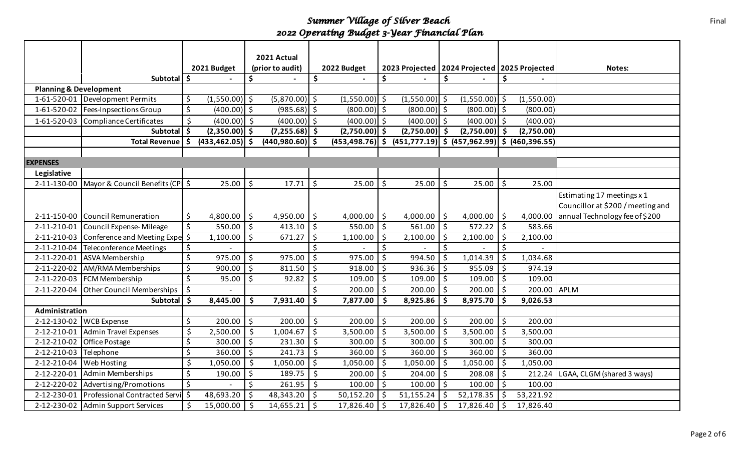|                                   |                                   |                       |                          | 2021 Actual       |         |                 |                |                 |    |                                                       |               |               |                                   |
|-----------------------------------|-----------------------------------|-----------------------|--------------------------|-------------------|---------|-----------------|----------------|-----------------|----|-------------------------------------------------------|---------------|---------------|-----------------------------------|
|                                   |                                   | 2021 Budget           |                          | (prior to audit)  |         | 2022 Budget     |                |                 |    | 2023 Projected   2024 Projected   2025 Projected      |               |               | Notes:                            |
|                                   | Subtotal   \$                     |                       | \$                       |                   | \$      |                 | \$             |                 | \$ |                                                       | \$            |               |                                   |
| <b>Planning &amp; Development</b> |                                   |                       |                          |                   |         |                 |                |                 |    |                                                       |               |               |                                   |
| 1-61-520-01                       | Development Permits               | \$<br>$(1,550.00)$ \$ |                          | $(5,870.00)$ \$   |         | $(1,550.00)$ \$ |                | $(1,550.00)$ \$ |    | $(1,550.00)$ \$                                       |               | (1,550.00)    |                                   |
| 1-61-520-02                       | Fees-Inpsections Group            | \$<br>$(400.00)$ \$   |                          | $(985.68)$ \$     |         | $(800.00)$ \$   |                | $(800.00)$ \$   |    | $(800.00)$ \$                                         |               | (800.00)      |                                   |
| 1-61-520-03                       | Compliance Certificates           | \$<br>$(400.00)$ \$   |                          | $(400.00)$ \$     |         | $(400.00)$ \$   |                | $(400.00)$ \$   |    | $(400.00)$ \$                                         |               | (400.00)      |                                   |
|                                   | Subtotal                          | \$<br>$(2,350.00)$ \$ |                          | $(7,255.68)$ \$   |         | $(2,750.00)$ \$ |                | $(2,750.00)$ \$ |    | $(2,750.00)$ \$                                       |               | (2,750.00)    |                                   |
|                                   | <b>Total Revenue</b>              | (433, 462.05)         | $\overline{\phantom{a}}$ | $(440,980.60)$ \$ |         |                 |                |                 |    | $(453, 498.76)$ \$ $(451, 777.19)$ \$ $(457, 962.99)$ | $\mathsf{\$}$ | (460, 396.55) |                                   |
|                                   |                                   |                       |                          |                   |         |                 |                |                 |    |                                                       |               |               |                                   |
| <b>EXPENSES</b>                   |                                   |                       |                          |                   |         |                 |                |                 |    |                                                       |               |               |                                   |
| Legislative                       |                                   |                       |                          |                   |         |                 |                |                 |    |                                                       |               |               |                                   |
| 2-11-130-00                       | Mayor & Council Benefits (CP   \$ | 25.00                 | \$                       | 17.71             | $\zeta$ | 25.00           | \$             | 25.00           | \$ | 25.00                                                 | \$            | 25.00         |                                   |
|                                   |                                   |                       |                          |                   |         |                 |                |                 |    |                                                       |               |               | Estimating 17 meetings x 1        |
|                                   |                                   |                       |                          |                   |         |                 |                |                 |    |                                                       |               |               | Councillor at \$200 / meeting and |
| 2-11-150-00                       | <b>Council Remuneration</b>       | \$<br>4,800.00        | \$                       | 4,950.00          | \$      | 4,000.00        | $\ddot{\zeta}$ | 4,000.00        | \$ | 4,000.00                                              | \$            | 4,000.00      | annual Technology fee of \$200    |
| 2-11-210-01                       | Council Expense-Mileage           | \$<br>550.00          | \$                       | 413.10            | \$      | 550.00          | \$             | 561.00          | \$ | 572.22                                                | \$            | 583.66        |                                   |
| 2-11-210-03                       | Conference and Meeting Expe       | 1,100.00              | \$                       | 671.27            | $\zeta$ | 1,100.00        | \$             | 2,100.00        | Ś  | 2,100.00                                              | \$            | 2,100.00      |                                   |
| 2-11-210-04                       | Teleconference Meetings           | \$                    |                          |                   | \$      |                 | Ś              |                 | Ś  |                                                       | Š.            |               |                                   |
| 2-11-220-01                       | ASVA Membership                   | \$<br>975.00          | $\zeta$                  | 975.00            | $\zeta$ | 975.00          | \$             | 994.50          | Ś  | 1,014.39                                              | Ŝ.            | 1,034.68      |                                   |
| 2-11-220-02                       | AM/RMA Memberships                | \$<br>900.00          | \$                       | 811.50            | \$      | 918.00          | \$             | 936.36          | Ŝ. | 955.09                                                | \$            | 974.19        |                                   |
| 2-11-220-03                       | FCM Membership                    | \$<br>95.00           | \$                       | 92.82             | $\zeta$ | 109.00          | \$             | 109.00          | \$ | 109.00                                                | \$            | 109.00        |                                   |
| 2-11-220-04                       | Other Council Memberships         | \$                    |                          |                   | $\zeta$ | 200.00          | \$             | 200.00          | \$ | $200.00$ \$                                           |               | 200.00        | <b>APLM</b>                       |
|                                   | <b>Subtotal</b>                   | \$<br>8,445.00        | Ŝ.                       | 7,931.40          | \$      | 7,877.00        | \$             | 8,925.86        | Ś. | 8,975.70                                              | Ŝ.            | 9,026.53      |                                   |
| Administration                    |                                   |                       |                          |                   |         |                 |                |                 |    |                                                       |               |               |                                   |
| 2-12-130-02                       | <b>WCB</b> Expense                | \$<br>200.00          | \$                       | 200.00            | \$      | 200.00          | $\zeta$        | 200.00          | \$ | 200.00                                                | $\zeta$       | 200.00        |                                   |
| 2-12-210-01                       | <b>Admin Travel Expenses</b>      | \$<br>2,500.00        | \$                       | 1,004.67          | \$      | 3,500.00        | \$             | 3,500.00        | \$ | 3,500.00                                              | \$            | 3,500.00      |                                   |
| 2-12-210-02                       | Office Postage                    | \$<br>300.00          | $\zeta$                  | 231.30            | $\zeta$ | 300.00          | \$             | 300.00          | \$ | $300.00$ \$                                           |               | 300.00        |                                   |
| 2-12-210-03                       | Telephone                         | \$<br>360.00          | \$                       | 241.73            | $\zeta$ | 360.00          | \$             | 360.00          | \$ | 360.00                                                | $\zeta$       | 360.00        |                                   |
| 2-12-210-04                       | Web Hosting                       | \$<br>1,050.00        | $\zeta$                  | 1,050.00          | $\zeta$ | 1,050.00        | \$             | 1,050.00        | \$ | 1,050.00                                              | \$            | 1,050.00      |                                   |
| 2-12-220-01                       | Admin Memberships                 | \$<br>190.00          | \$                       | 189.75            | $\zeta$ | 200.00          | \$             | 204.00          | \$ | 208.08                                                | \$            | 212.24        | LGAA, CLGM (shared 3 ways)        |
| 2-12-220-02                       | Advertising/Promotions            | \$                    | \$                       | 261.95            | \$      | 100.00          | \$             | 100.00          | Ś. | 100.00                                                | $\zeta$       | 100.00        |                                   |
| 2-12-230-01                       | Professional Contracted Servil \$ | 48,693.20             | \$                       | 48,343.20         | \$      | 50,152.20       |                | 51,155.24       |    | 52,178.35                                             | Š.            | 53,221.92     |                                   |
| 2-12-230-02                       | <b>Admin Support Services</b>     | \$<br>15,000.00       | Ŝ.                       | 14,655.21         | \$      | 17,826.40       |                | 17,826.40       |    | 17,826.40                                             | Ŝ.            | 17,826.40     |                                   |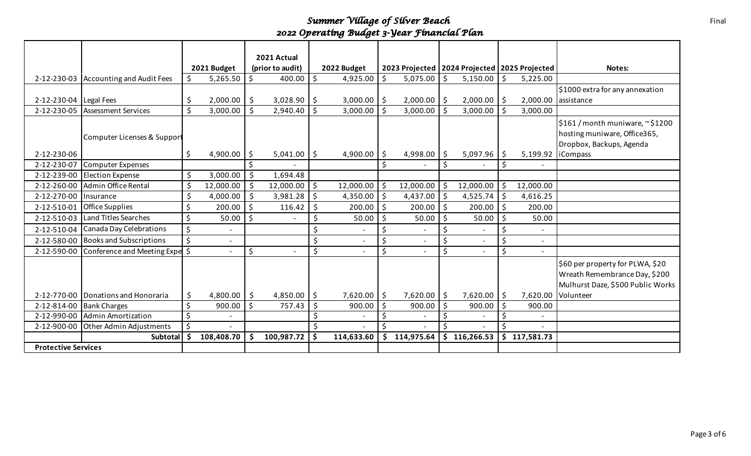|                            |                                  |     |             |     | 2021 Actual              |         |             |    |                                                  |     |                          |         |              |                                   |
|----------------------------|----------------------------------|-----|-------------|-----|--------------------------|---------|-------------|----|--------------------------------------------------|-----|--------------------------|---------|--------------|-----------------------------------|
|                            |                                  |     | 2021 Budget |     | (prior to audit)         |         | 2022 Budget |    | 2023 Projected   2024 Projected   2025 Projected |     |                          |         |              | Notes:                            |
| 2-12-230-03                | <b>Accounting and Audit Fees</b> | Ŝ.  | 5,265.50    | Ŝ.  | 400.00                   | $\zeta$ | 4,925.00    | Ś. | 5,075.00                                         | Ŝ.  | 5,150.00                 | \$      | 5,225.00     |                                   |
|                            |                                  |     |             |     |                          |         |             |    |                                                  |     |                          |         |              | \$1000 extra for any annexation   |
| 2-12-230-04                | Legal Fees                       | \$  | 2,000.00    | \$  | 3,028.90                 | \$      | 3,000.00    | \$ | 2,000.00                                         | -\$ | $2,000.00$   \$          |         | 2,000.00     | assistance                        |
| 2-12-230-05                | <b>Assessment Services</b>       | \$  | 3,000.00    | Ś   | 2,940.40                 | Ŝ.      | 3,000.00    | \$ | 3,000.00                                         | Ŝ.  | 3,000.00                 | Ŝ.      | 3,000.00     |                                   |
|                            |                                  |     |             |     |                          |         |             |    |                                                  |     |                          |         |              | $$161/m$ onth muniware, ~ $$1200$ |
|                            | Computer Licenses & Support      |     |             |     |                          |         |             |    |                                                  |     |                          |         |              | hosting muniware, Office365,      |
|                            |                                  |     |             |     |                          |         |             |    |                                                  |     |                          |         |              | Dropbox, Backups, Agenda          |
| 2-12-230-06                |                                  | \$  | 4,900.00    | -\$ | 5,041.00                 | -\$     | 4,900.00    | \$ | 4,998.00                                         | \$  | 5,097.96                 | \$      | 5,199.92     | <b>iCompass</b>                   |
| 2-12-230-07                | Computer Expenses                |     |             |     |                          |         |             |    |                                                  | \$  |                          | \$      |              |                                   |
| 2-12-239-00                | <b>Election Expense</b>          | \$  | 3,000.00    | Ś   | 1,694.48                 |         |             |    |                                                  |     |                          |         |              |                                   |
| 2-12-260-00                | Admin Office Rental              | \$  | 12,000.00   | Ŝ.  | 12,000.00                | \$      | 12,000.00   | \$ | 12,000.00                                        | \$  | 12,000.00                | -\$     | 12,000.00    |                                   |
| 2-12-270-00                | <i><u><b>Insurance</b></u></i>   | \$  | 4,000.00    | Ś   | 3,981.28                 | \$      | 4,350.00    | \$ | 4,437.00                                         | \$  | 4,525.74                 | \$      | 4,616.25     |                                   |
| 2-12-510-01                | Office Supplies                  | \$  | 200.00      | \$  | 116.42                   | \$      | 200.00      | \$ | 200.00                                           | \$  | 200.00                   | \$      | 200.00       |                                   |
| 2-12-510-03                | Land Titles Searches             | Ś.  | 50.00       | \$. | $\overline{\phantom{0}}$ | \$      | 50.00       | \$ | 50.00                                            | Ś.  | 50.00                    | \$      | 50.00        |                                   |
| 2-12-510-04                | Canada Day Celebrations          |     |             |     |                          |         |             | \$ |                                                  | \$  |                          |         |              |                                   |
| 2-12-580-00                | <b>Books and Subscriptions</b>   | \$. |             |     |                          | \$      |             | \$ |                                                  | \$  | $\overline{\phantom{a}}$ | \$      |              |                                   |
| 2-12-590-00                | Conference and Meeting Expe      |     |             | \$  |                          | \$      |             | \$ |                                                  | \$  |                          | $\zeta$ |              |                                   |
|                            |                                  |     |             |     |                          |         |             |    |                                                  |     |                          |         |              | \$60 per property for PLWA, \$20  |
|                            |                                  |     |             |     |                          |         |             |    |                                                  |     |                          |         |              | Wreath Remembrance Day, \$200     |
|                            |                                  |     |             |     |                          |         |             |    |                                                  |     |                          |         |              | Mulhurst Daze, \$500 Public Works |
| 2-12-770-00                | Donations and Honoraria          | \$  | 4,800.00    | \$  | 4,850.00                 | \$      | 7,620.00    | \$ | 7,620.00                                         | \$  | 7,620.00                 | \$      | 7,620.00     | Volunteer                         |
| 2-12-814-00                | <b>Bank Charges</b>              | \$  | 900.00      | Ŝ.  | 757.43                   | \$      | 900.00      | Ś. | 900.00                                           | Ś.  | 900.00                   | \$      | 900.00       |                                   |
| 2-12-990-00                | Admin Amortization               | \$  |             |     |                          |         |             | \$ |                                                  |     |                          | \$      |              |                                   |
| 2-12-900-00                | Other Admin Adjustments          |     |             |     |                          |         |             |    |                                                  |     |                          |         |              |                                   |
|                            | Subtotal                         | Ŝ.  | 108,408.70  |     | 100,987.72               | Ŝ.      | 114,633.60  | Ś. | 114,975.64                                       | Ś.  | 116,266.53               |         | \$117,581.73 |                                   |
| <b>Protective Services</b> |                                  |     |             |     |                          |         |             |    |                                                  |     |                          |         |              |                                   |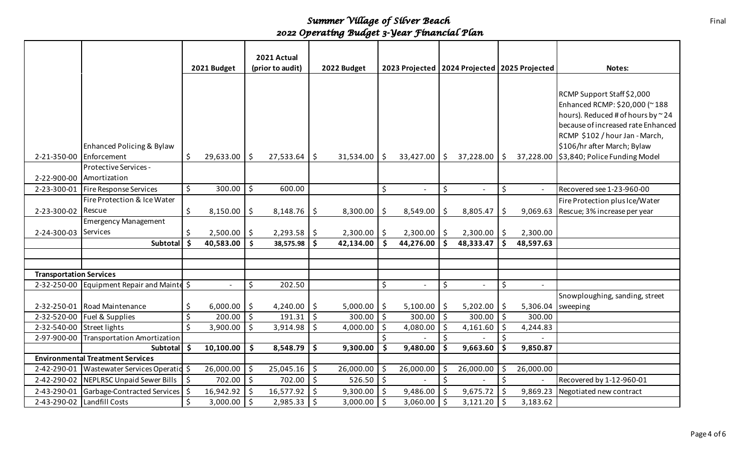|                                |                                                            |                    |             | 2021 Actual<br>(prior to audit) |           | 2022 Budget |                  |         |                | 2023 Projected   2024 Projected   2025 Projected |                 |          |           | Notes:                                                                                                                                                                                                                                   |
|--------------------------------|------------------------------------------------------------|--------------------|-------------|---------------------------------|-----------|-------------|------------------|---------|----------------|--------------------------------------------------|-----------------|----------|-----------|------------------------------------------------------------------------------------------------------------------------------------------------------------------------------------------------------------------------------------------|
|                                |                                                            |                    | 2021 Budget |                                 |           |             |                  |         |                |                                                  |                 |          |           |                                                                                                                                                                                                                                          |
| 2-21-350-00                    | Enhanced Policing & Bylaw<br>Enforcement                   | \$                 | 29,633.00   | \$                              | 27,533.64 | S.          | $31,534.00$   \$ |         | 33,427.00      | $\vert$ \$                                       | 37,228.00       | Ŝ.       | 37,228.00 | RCMP Support Staff \$2,000<br>Enhanced RCMP: \$20,000 (~188<br>hours). Reduced # of hours by ~24<br>because of increased rate Enhanced<br>RCMP \$102 / hour Jan - March,<br>\$106/hr after March; Bylaw<br>\$3,840; Police Funding Model |
|                                | Protective Services -                                      |                    |             |                                 |           |             |                  |         |                |                                                  |                 |          |           |                                                                                                                                                                                                                                          |
| 2-22-900-00                    | Amortization                                               |                    |             |                                 |           |             |                  |         |                |                                                  |                 |          |           |                                                                                                                                                                                                                                          |
| 2-23-300-01                    | Fire Response Services                                     | \$                 | 300.00      | \$                              | 600.00    |             |                  | \$      |                | $\zeta$                                          | $\sim$          | \$       |           | Recovered see 1-23-960-00                                                                                                                                                                                                                |
|                                | Fire Protection & Ice Water                                |                    |             |                                 |           |             |                  |         |                |                                                  |                 |          |           | Fire Protection plus Ice/Water                                                                                                                                                                                                           |
| 2-23-300-02                    | Rescue                                                     | \$                 | 8,150.00    | \$                              | 8,148.76  | \$          | 8,300.00         | \$      | 8,549.00       | \$                                               | 8,805.47        | \$       | 9,069.63  | Rescue; 3% increase per year                                                                                                                                                                                                             |
|                                | <b>Emergency Management</b>                                |                    |             |                                 |           |             |                  |         |                |                                                  |                 |          |           |                                                                                                                                                                                                                                          |
| 2-24-300-03                    | <b>Services</b>                                            | \$                 | 2,500.00    | \$                              | 2,293.58  | \$          | $2,300.00$   \$  |         | 2,300.00       | \$                                               | $2,300.00$   \$ |          | 2,300.00  |                                                                                                                                                                                                                                          |
|                                | <b>Subtotal</b>                                            | S.                 | 40,583.00   | $\ddot{\bm{\zeta}}$             | 38,575.98 | \$          | 42,134.00        | \$      | 44,276.00      | Ŝ.                                               | 48,333.47       | \$       | 48,597.63 |                                                                                                                                                                                                                                          |
|                                |                                                            |                    |             |                                 |           |             |                  |         |                |                                                  |                 |          |           |                                                                                                                                                                                                                                          |
|                                |                                                            |                    |             |                                 |           |             |                  |         |                |                                                  |                 |          |           |                                                                                                                                                                                                                                          |
| <b>Transportation Services</b> |                                                            |                    |             |                                 |           |             |                  |         |                |                                                  |                 |          |           |                                                                                                                                                                                                                                          |
|                                | 2-32-250-00 Equipment Repair and Mainte \$                 |                    |             | \$                              | 202.50    |             |                  | \$      | $\blacksquare$ | \$                                               | $\sim$          | \$       |           |                                                                                                                                                                                                                                          |
|                                |                                                            |                    |             |                                 |           |             |                  |         |                |                                                  |                 |          |           | Snowploughing, sanding, street                                                                                                                                                                                                           |
| 2-32-250-01                    | Road Maintenance                                           | \$                 | 6,000.00    | \$                              | 4,240.00  | \$          | 5,000.00         | \$.     | 5,100.00       | \$.                                              | 5,202.00        | Ŝ.       | 5,306.04  | sweeping                                                                                                                                                                                                                                 |
| 2-32-520-00                    | Fuel & Supplies                                            | $\zeta$            | 200.00      | $\zeta$                         | 191.31    | $\zeta$     | 300.00           | $\zeta$ | 300.00         | $\mathsf{S}$                                     | 300.00          | $\zeta$  | 300.00    |                                                                                                                                                                                                                                          |
| 2-32-540-00                    | Street lights                                              | \$                 | 3,900.00    | \$                              | 3,914.98  | \$          | 4,000.00         | \$      | 4,080.00       | \$                                               | 4,161.60        | \$       | 4,244.83  |                                                                                                                                                                                                                                          |
| 2-97-900-00                    | <b>Transportation Amortization</b>                         |                    |             |                                 |           |             |                  |         |                | \$                                               |                 | \$       |           |                                                                                                                                                                                                                                          |
|                                | <b>Subtotal</b><br><b>Environmental Treatment Services</b> | $\mathsf{\hat{S}}$ | 10,100.00   | \$                              | 8,548.79  | \$          | 9,300.00         | \$      | 9,480.00       | \$                                               | 9,663.60        | \$       | 9,850.87  |                                                                                                                                                                                                                                          |
|                                |                                                            |                    |             |                                 |           |             |                  |         |                |                                                  |                 |          |           |                                                                                                                                                                                                                                          |
| 2-42-290-01                    | Wastewater Services Operation                              |                    | 26,000.00   | \$                              | 25,045.16 | \$          | 26,000.00        | \$      | 26,000.00      | Ŝ.<br>$\zeta$                                    | 26,000.00       | \$<br>Ś. | 26,000.00 |                                                                                                                                                                                                                                          |
| 2-42-290-02                    | NEPLRSC Unpaid Sewer Bills                                 | \$                 | 702.00      | $\ddot{\mathsf{S}}$             | 702.00    | \$          | $526.50$   \$    |         |                |                                                  |                 |          |           | Recovered by 1-12-960-01                                                                                                                                                                                                                 |
| 2-43-290-01                    | Garbage-Contracted Services                                | \$                 | 16,942.92   | $\zeta$                         | 16,577.92 | \$          | 9,300.00         | \$      | 9,486.00       | Ŝ.                                               | 9,675.72        | Ś.       | 9,869.23  | Negotiated new contract                                                                                                                                                                                                                  |
| 2-43-290-02                    | Landfill Costs                                             | \$                 | 3,000.00    | \$                              | 2,985.33  | \$          | $3,000.00$   \$  |         | 3,060.00       | \$                                               | 3,121.20        | -\$      | 3,183.62  |                                                                                                                                                                                                                                          |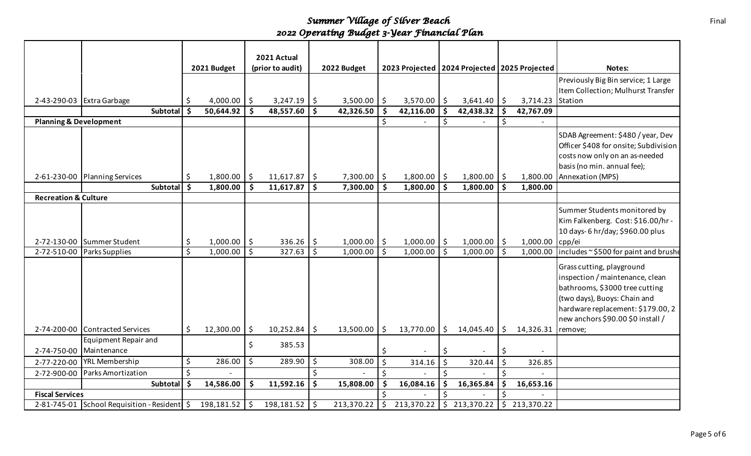|                                   |                                           |         |             |                    | 2021 Actual      |         |             |         |                                                  |          |                 |    |                  |                                       |
|-----------------------------------|-------------------------------------------|---------|-------------|--------------------|------------------|---------|-------------|---------|--------------------------------------------------|----------|-----------------|----|------------------|---------------------------------------|
|                                   |                                           |         | 2021 Budget |                    | (prior to audit) |         | 2022 Budget |         | 2023 Projected   2024 Projected   2025 Projected |          |                 |    |                  | Notes:                                |
|                                   |                                           |         |             |                    |                  |         |             |         |                                                  |          |                 |    |                  | Previously Big Bin service; 1 Large   |
|                                   |                                           |         |             |                    |                  |         |             |         |                                                  |          |                 |    |                  | Item Collection; Mulhurst Transfer    |
|                                   | 2-43-290-03 Extra Garbage                 | \$      | 4,000.00    | \$                 | $3,247.19$ \$    |         | 3,500.00    | \$      | 3,570.00                                         | -\$      | 3,641.40        | Ŝ. | 3,714.23 Station |                                       |
|                                   | Subtotal                                  | Ŝ.      | 50,644.92   | \$                 | 48,557.60        | \$      | 42,326.50   | \$      | 42,116.00                                        |          | 42,438.32       | \$ | 42,767.09        |                                       |
| <b>Planning &amp; Development</b> |                                           |         |             |                    |                  |         |             | \$      |                                                  | \$       |                 | \$ |                  |                                       |
|                                   |                                           |         |             |                    |                  |         |             |         |                                                  |          |                 |    |                  | SDAB Agreement: \$480 / year, Dev     |
|                                   |                                           |         |             |                    |                  |         |             |         |                                                  |          |                 |    |                  | Officer \$408 for onsite; Subdivision |
|                                   |                                           |         |             |                    |                  |         |             |         |                                                  |          |                 |    |                  | costs now only on an as-needed        |
|                                   |                                           |         |             |                    |                  |         |             |         |                                                  |          |                 |    |                  | basis (no min. annual fee);           |
|                                   | 2-61-230-00 Planning Services             | \$.     | 1,800.00    | $\ddot{\varsigma}$ | $11,617.87$   \$ |         | 7,300.00    | \$      | $1,800.00$   \$                                  |          | $1,800.00$   \$ |    | 1,800.00         | Annexation (MPS)                      |
|                                   | Subtotal                                  | \$      | 1,800.00    | \$                 | 11,617.87        | -\$     | 7,300.00    | Ŝ.      | 1,800.00                                         | <b>S</b> | $1,800.00$ \$   |    | 1,800.00         |                                       |
| <b>Recreation &amp; Culture</b>   |                                           |         |             |                    |                  |         |             |         |                                                  |          |                 |    |                  |                                       |
|                                   |                                           |         |             |                    |                  |         |             |         |                                                  |          |                 |    |                  | Summer Students monitored by          |
|                                   |                                           |         |             |                    |                  |         |             |         |                                                  |          |                 |    |                  | Kim Falkenberg. Cost: \$16.00/hr -    |
|                                   |                                           |         |             |                    |                  |         |             |         |                                                  |          |                 |    |                  | 10 days- 6 hr/day; \$960.00 plus      |
| 2-72-130-00                       | Summer Student                            | \$      | 1,000.00    | \$                 | 336.26           | \$      | 1,000.00    | \$      | 1,000.00                                         | -\$      | 1,000.00        | -Ś | 1,000.00         | cpp/ei                                |
| 2-72-510-00                       | Parks Supplies                            | \$      | 1,000.00    | $\mathsf{\dot{S}}$ | 327.63           | $\zeta$ | 1,000.00    | $\zeta$ | 1,000.00                                         | Ŝ.       | $1,000.00$ \$   |    | 1,000.00         | includes~\$500 for paint and brushe   |
|                                   |                                           |         |             |                    |                  |         |             |         |                                                  |          |                 |    |                  |                                       |
|                                   |                                           |         |             |                    |                  |         |             |         |                                                  |          |                 |    |                  | Grass cutting, playground             |
|                                   |                                           |         |             |                    |                  |         |             |         |                                                  |          |                 |    |                  | inspection / maintenance, clean       |
|                                   |                                           |         |             |                    |                  |         |             |         |                                                  |          |                 |    |                  | bathrooms, \$3000 tree cutting        |
|                                   |                                           |         |             |                    |                  |         |             |         |                                                  |          |                 |    |                  | (two days), Buoys: Chain and          |
|                                   |                                           |         |             |                    |                  |         |             |         |                                                  |          |                 |    |                  | hardware replacement: \$179.00, 2     |
|                                   |                                           |         |             |                    |                  |         |             |         |                                                  |          |                 |    |                  | new anchors \$90.00 \$0 install /     |
| 2-74-200-00                       | Contracted Services                       | S.      | 12,300.00   | \$.                | 10,252.84        | \$      | 13,500.00   | \$.     | 13,770.00                                        | \$.      | 14,045.40       | \$ | 14,326.31        | remove;                               |
|                                   | Equipment Repair and                      |         |             |                    |                  |         |             |         |                                                  |          |                 |    |                  |                                       |
| 2-74-750-00                       | Maintenance                               |         |             | \$                 | 385.53           |         |             | \$      |                                                  | S        |                 | \$ |                  |                                       |
| 2-77-220-00                       | <b>YRL Membership</b>                     | \$      | 286.00      | $\zeta$            | 289.90           | \$      | 308.00      | $\zeta$ | 314.16                                           | \$       | 320.44          | \$ | 326.85           |                                       |
| 2-72-900-00                       | Parks Amortization                        | $\zeta$ |             |                    |                  | $\zeta$ |             | $\zeta$ |                                                  | Ś        |                 | \$ |                  |                                       |
|                                   | Subtotal                                  | \$.     | 14,586.00   | \$                 | 11,592.16        | \$      | 15,808.00   | Ś       | 16,084.16                                        |          | 16,365.84       | \$ | 16,653.16        |                                       |
| <b>Fiscal Services</b>            |                                           |         |             |                    |                  |         |             |         |                                                  |          |                 |    |                  |                                       |
|                                   | 2-81-745-01 School Requisition - Resident |         | 198,181.52  |                    | 198,181.52       | \$      | 213,370.22  |         | 213,370.22                                       |          | \$213,370.22    | \$ | 213,370.22       |                                       |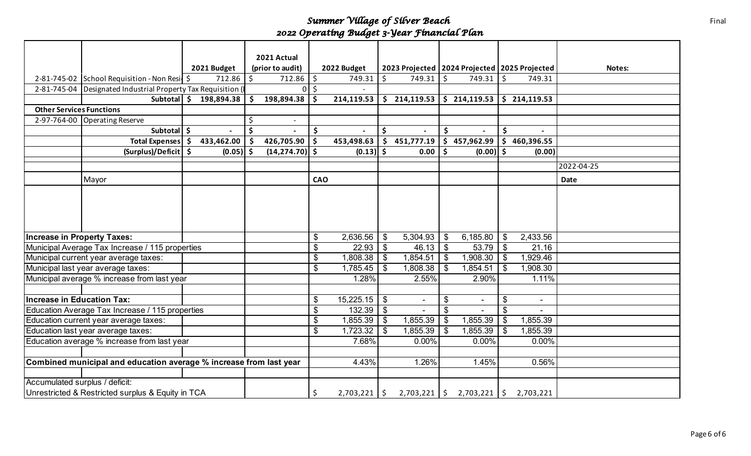|                                                                    |                                                  |    |             |    | 2021 Actual              |               |             |                           |                                      |                           |                                                   |         |                |            |
|--------------------------------------------------------------------|--------------------------------------------------|----|-------------|----|--------------------------|---------------|-------------|---------------------------|--------------------------------------|---------------------------|---------------------------------------------------|---------|----------------|------------|
|                                                                    |                                                  |    | 2021 Budget |    | (prior to audit)         |               | 2022 Budget |                           |                                      |                           | 2023 Projected   2024 Projected   2025 Projected  |         |                | Notes:     |
|                                                                    | 2-81-745-02 School Requisition - Non Resil \$    |    | 712.86      | Ś. | 712.86                   | $\zeta$       | 749.31      | $\zeta$                   | 749.31                               | $\mathsf{\dot{S}}$        | 749.31                                            | $\zeta$ | 749.31         |            |
| 2-81-745-04                                                        | Designated Industrial Property Tax Requisition ( |    |             |    |                          | $0$ \$        |             |                           |                                      |                           |                                                   |         |                |            |
|                                                                    | Subtotal   \$                                    |    | 198,894.38  | Ś. | 198,894.38               | \$            | 214,119.53  |                           |                                      |                           | $\frac{1}{2}$ 214,119.53 $\frac{1}{2}$ 214,119.53 |         | \$214,119.53   |            |
| <b>Other Services Functions</b>                                    |                                                  |    |             |    |                          |               |             |                           |                                      |                           |                                                   |         |                |            |
|                                                                    | 2-97-764-00 Operating Reserve                    |    |             | \$ | $\overline{\phantom{a}}$ |               |             |                           |                                      |                           |                                                   |         |                |            |
|                                                                    | Subtotal \$                                      |    |             | \$ |                          | \$            |             | \$                        |                                      | \$                        |                                                   | \$      |                |            |
|                                                                    | <b>Total Expenses</b>                            | \$ | 433,462.00  | \$ | 426,705.90               | $\mathsf{\$}$ | 453,498.63  |                           | \$451,777.19                         |                           | 5457,962.99                                       | \$      | 460,396.55     |            |
|                                                                    | (Surplus)/Deficit 5                              |    | $(0.05)$ \$ |    | $(14, 274.70)$ \$        |               | $(0.13)$ \$ |                           | 0.00                                 | $\mathsf{\hat{S}}$        | $(0.00)$ \$                                       |         | (0.00)         |            |
|                                                                    |                                                  |    |             |    |                          |               |             |                           |                                      |                           |                                                   |         |                | 2022-04-25 |
|                                                                    | Mayor                                            |    |             |    |                          | <b>CAO</b>    |             |                           |                                      |                           |                                                   |         |                | Date       |
|                                                                    |                                                  |    |             |    |                          |               |             |                           |                                      |                           |                                                   |         |                |            |
|                                                                    |                                                  |    |             |    |                          |               |             |                           |                                      |                           |                                                   |         |                |            |
|                                                                    |                                                  |    |             |    |                          |               |             |                           |                                      |                           |                                                   |         |                |            |
|                                                                    |                                                  |    |             |    |                          |               |             |                           |                                      |                           |                                                   |         |                |            |
|                                                                    |                                                  |    |             |    |                          |               |             |                           |                                      |                           |                                                   |         |                |            |
| <b>Increase in Property Taxes:</b>                                 |                                                  |    |             |    |                          | \$            | 2,636.56    | $\boldsymbol{\mathsf{S}}$ | 5,304.93                             | $\mathfrak{S}$            | 6,185.80                                          | \$      | 2,433.56       |            |
|                                                                    | Municipal Average Tax Increase / 115 properties  |    |             |    |                          | \$            | 22.93       | \$                        | 46.13                                | -\$                       | 53.79                                             | \$      | 21.16          |            |
|                                                                    | Municipal current year average taxes:            |    |             |    |                          | \$            | 1,808.38    | \$                        | 1,854.51                             | \$                        | 1,908.30                                          |         | 1,929.46       |            |
|                                                                    | Municipal last year average taxes:               |    |             |    |                          | \$            | 1,785.45    | \$                        | 1,808.38                             | \$                        | 1,854.51                                          | \$      | 1,908.30       |            |
|                                                                    | Municipal average % increase from last year      |    |             |    |                          |               | 1.28%       |                           | 2.55%                                |                           | 2.90%                                             |         | 1.11%          |            |
|                                                                    |                                                  |    |             |    |                          |               |             |                           |                                      |                           |                                                   |         |                |            |
| <b>Increase in Education Tax:</b>                                  |                                                  |    |             |    |                          | \$            | 15,225.15   | $\frac{1}{2}$             |                                      | \$                        | $\blacksquare$                                    | \$      | $\sim$         |            |
|                                                                    | Education Average Tax Increase / 115 properties  |    |             |    |                          | \$            | 132.39      | \$                        |                                      | $\boldsymbol{\mathsf{S}}$ |                                                   | \$      | $\blacksquare$ |            |
|                                                                    | Education current year average taxes:            |    |             |    |                          | \$            | 1,855.39    | \$                        | 1,855.39                             | \$                        | 1,855.39                                          |         | 1,855.39       |            |
|                                                                    | Education last year average taxes:               |    |             |    |                          | \$            | 1,723.32    | \$                        | 1,855.39                             | $\mathfrak{L}$            | 1,855.39                                          |         | 1,855.39       |            |
|                                                                    | Education average % increase from last year      |    |             |    |                          |               | 7.68%       |                           | $0.00\%$                             |                           | 0.00%                                             |         | 0.00%          |            |
|                                                                    |                                                  |    |             |    |                          |               |             |                           |                                      |                           |                                                   |         |                |            |
| Combined municipal and education average % increase from last year |                                                  |    |             |    | 4.43%                    |               | 1.26%       |                           | 1.45%                                |                           | 0.56%                                             |         |                |            |
|                                                                    |                                                  |    |             |    |                          |               |             |                           |                                      |                           |                                                   |         |                |            |
| Accumulated surplus / deficit:                                     |                                                  |    |             |    |                          |               |             |                           |                                      |                           |                                                   |         |                |            |
| Unrestricted & Restricted surplus & Equity in TCA                  |                                                  |    |             | \$ | $2,703,221$   \$         |               |             |                           | $2,703,221$ $\binom{6}{5}$ 2,703,221 | \$                        | 2,703,221                                         |         |                |            |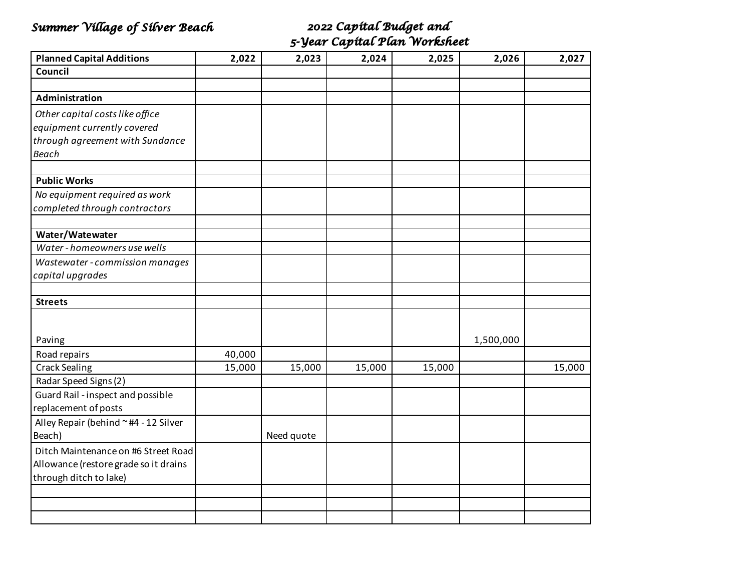## *Summer Village of Silver Beach 2022 Capital Budget and*

# *5-Year Capital Plan Worksheet*

| <b>Planned Capital Additions</b>      | 2,022  | 2,023      | 2,024  | 2,025  | 2,026     | 2,027  |
|---------------------------------------|--------|------------|--------|--------|-----------|--------|
| Council                               |        |            |        |        |           |        |
|                                       |        |            |        |        |           |        |
| Administration                        |        |            |        |        |           |        |
| Other capital costs like office       |        |            |        |        |           |        |
| equipment currently covered           |        |            |        |        |           |        |
| through agreement with Sundance       |        |            |        |        |           |        |
| <b>Beach</b>                          |        |            |        |        |           |        |
|                                       |        |            |        |        |           |        |
| <b>Public Works</b>                   |        |            |        |        |           |        |
| No equipment required as work         |        |            |        |        |           |        |
| completed through contractors         |        |            |        |        |           |        |
|                                       |        |            |        |        |           |        |
| Water/Watewater                       |        |            |        |        |           |        |
| Water - homeowners use wells          |        |            |        |        |           |        |
| Wastewater - commission manages       |        |            |        |        |           |        |
| capital upgrades                      |        |            |        |        |           |        |
|                                       |        |            |        |        |           |        |
| <b>Streets</b>                        |        |            |        |        |           |        |
|                                       |        |            |        |        |           |        |
| Paving                                |        |            |        |        | 1,500,000 |        |
| Road repairs                          | 40,000 |            |        |        |           |        |
| <b>Crack Sealing</b>                  | 15,000 | 15,000     | 15,000 | 15,000 |           | 15,000 |
| Radar Speed Signs (2)                 |        |            |        |        |           |        |
| Guard Rail - inspect and possible     |        |            |        |        |           |        |
| replacement of posts                  |        |            |        |        |           |        |
| Alley Repair (behind ~#4 - 12 Silver  |        |            |        |        |           |        |
| Beach)                                |        | Need quote |        |        |           |        |
| Ditch Maintenance on #6 Street Road   |        |            |        |        |           |        |
| Allowance (restore grade so it drains |        |            |        |        |           |        |
| through ditch to lake)                |        |            |        |        |           |        |
|                                       |        |            |        |        |           |        |
|                                       |        |            |        |        |           |        |
|                                       |        |            |        |        |           |        |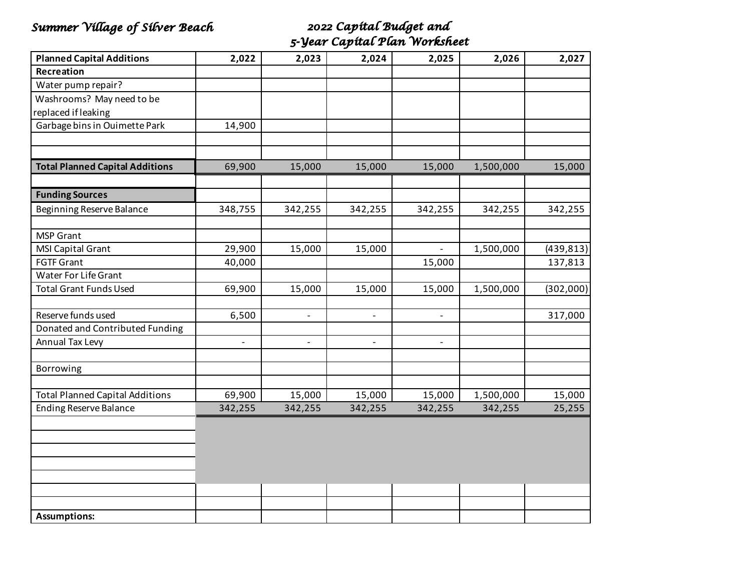## *Summer Village of Silver Beach 2022 Capital Budget and*

*5-Year Capital Plan Worksheet*

| <b>Planned Capital Additions</b>       | 2,022                    | 2,023                    | 2,024                    | 2,025                    | 2,026     | 2,027      |
|----------------------------------------|--------------------------|--------------------------|--------------------------|--------------------------|-----------|------------|
| Recreation                             |                          |                          |                          |                          |           |            |
| Water pump repair?                     |                          |                          |                          |                          |           |            |
| Washrooms? May need to be              |                          |                          |                          |                          |           |            |
| replaced if leaking                    |                          |                          |                          |                          |           |            |
| Garbage bins in Ouimette Park          | 14,900                   |                          |                          |                          |           |            |
|                                        |                          |                          |                          |                          |           |            |
|                                        |                          |                          |                          |                          |           |            |
| <b>Total Planned Capital Additions</b> | 69,900                   | 15,000                   | 15,000                   | 15,000                   | 1,500,000 | 15,000     |
|                                        |                          |                          |                          |                          |           |            |
| <b>Funding Sources</b>                 |                          |                          |                          |                          |           |            |
| Beginning Reserve Balance              | 348,755                  | 342,255                  | 342,255                  | 342,255                  | 342,255   | 342,255    |
|                                        |                          |                          |                          |                          |           |            |
| <b>MSP Grant</b>                       |                          |                          |                          |                          |           |            |
| MSI Capital Grant                      | 29,900                   | 15,000                   | 15,000                   | $\overline{\phantom{0}}$ | 1,500,000 | (439, 813) |
| <b>FGTF Grant</b>                      | 40,000                   |                          |                          | 15,000                   |           | 137,813    |
| Water For Life Grant                   |                          |                          |                          |                          |           |            |
| <b>Total Grant Funds Used</b>          | 69,900                   | 15,000                   | 15,000                   | 15,000                   | 1,500,000 | (302,000)  |
|                                        |                          |                          |                          |                          |           |            |
| Reserve funds used                     | 6,500                    | $\overline{\phantom{a}}$ | $\overline{\phantom{a}}$ | $\overline{\phantom{a}}$ |           | 317,000    |
| Donated and Contributed Funding        |                          |                          |                          |                          |           |            |
| Annual Tax Levy                        | $\overline{\phantom{a}}$ | $\overline{\phantom{0}}$ | $\overline{\phantom{a}}$ | $\qquad \qquad -$        |           |            |
|                                        |                          |                          |                          |                          |           |            |
| Borrowing                              |                          |                          |                          |                          |           |            |
| <b>Total Planned Capital Additions</b> | 69,900                   | 15,000                   | 15,000                   | 15,000                   | 1,500,000 | 15,000     |
| <b>Ending Reserve Balance</b>          | 342,255                  | 342,255                  | 342,255                  | 342,255                  | 342,255   | 25,255     |
|                                        |                          |                          |                          |                          |           |            |
|                                        |                          |                          |                          |                          |           |            |
|                                        |                          |                          |                          |                          |           |            |
|                                        |                          |                          |                          |                          |           |            |
|                                        |                          |                          |                          |                          |           |            |
|                                        |                          |                          |                          |                          |           |            |
|                                        |                          |                          |                          |                          |           |            |
| <b>Assumptions:</b>                    |                          |                          |                          |                          |           |            |